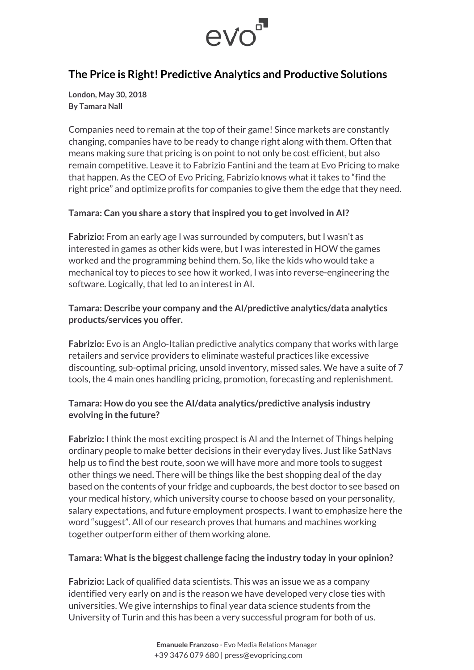

## **The Price is Right! Predictive Analytics and Productive Solutions**

**London, May 30, 2018 By Tamara Nall**

Companies need to remain at the top of their game! Since markets are constantly changing, companies have to be ready to change right along with them. Often that means making sure that pricing is on point to not only be cost efficient, but also remain competitive. Leave it to Fabrizio Fantini and the team at Evo Pricing to make that happen. As the CEO of Evo Pricing, Fabrizio knows what it takes to "find the right price" and optimize profits for companies to give them the edge that they need.

#### **Tamara: Can you share a story that inspired you to get involved in AI?**

**Fabrizio:** From an early age I was surrounded by computers, but I wasn't as interested in games as other kids were, but I was interested in HOW the games worked and the programming behind them. So, like the kids who would take a mechanical toy to pieces to see how it worked, I was into reverse-engineering the software. Logically, that led to an interest in AI.

#### **Tamara: Describe your company and the AI/predictive analytics/data analytics products/services you offer.**

**Fabrizio:** Evo is an Anglo-Italian predictive analytics company that works with large retailers and service providers to eliminate wasteful practices like excessive discounting, sub-optimal pricing, unsold inventory, missed sales. We have a suite of 7 tools, the 4 main ones handling pricing, promotion, forecasting and replenishment.

#### **Tamara: How do you see the AI/data analytics/predictive analysis industry evolving in the future?**

**Fabrizio:** I think the most exciting prospect is AI and the Internet of Things helping ordinary people to make better decisions in their everyday lives. Just like SatNavs help us to find the best route, soon we will have more and more tools to suggest other things we need. There will be things like the best shopping deal of the day based on the contents of your fridge and cupboards, the best doctor to see based on your medical history, which university course to choose based on your personality, salary expectations, and future employment prospects. I want to emphasize here the word "suggest". All of our research proves that humans and machines working together outperform either of them working alone.

#### **Tamara: What is the biggest challenge facing the industry today in your opinion?**

**Fabrizio:** Lack of qualified data scientists. This was an issue we as a company identified very early on and is the reason we have developed very close ties with universities. We give internships to final year data science students from the University of Turin and this has been a very successful program for both of us.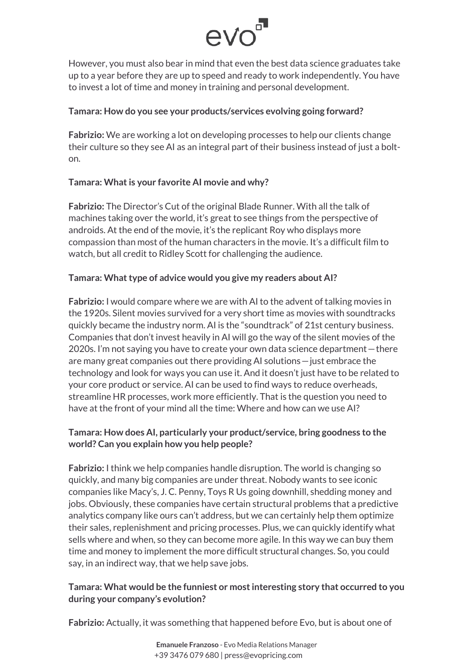# evo<sup>5</sup>

However, you must also bear in mind that even the best data science graduates take up to a year before they are up to speed and ready to work independently. You have to invest a lot of time and money in training and personal development.

#### **Tamara: How do you see your products/services evolving going forward?**

**Fabrizio:** We are working a lot on developing processes to help our clients change their culture so they see AI as an integral part of their business instead of just a bolton.

## **Tamara: What is your favorite AI movie and why?**

**Fabrizio:** The Director's Cut of the original Blade Runner. With all the talk of machines taking over the world, it's great to see things from the perspective of androids. At the end of the movie, it's the replicant Roy who displays more compassion than most of the human characters in the movie. It's a difficult film to watch, but all credit to Ridley Scott for challenging the audience.

## **Tamara: What type of advice would you give my readers about AI?**

**Fabrizio:** I would compare where we are with AI to the advent of talking movies in the 1920s. Silent movies survived for a very short time as movies with soundtracks quickly became the industry norm. AI is the "soundtrack" of 21st century business. Companies that don't invest heavily in AI will go the way of the silent movies of the 2020s. I'm not saying you have to create your own data science department—there are many great companies out there providing AI solutions—just embrace the technology and look for ways you can use it. And it doesn't just have to be related to your core product or service. AI can be used to find ways to reduce overheads, streamline HR processes, work more efficiently. That is the question you need to have at the front of your mind all the time: Where and how can we use AI?

## **Tamara: How does AI, particularly your product/service, bring goodness to the world? Can you explain how you help people?**

**Fabrizio:** I think we help companies handle disruption. The world is changing so quickly, and many big companies are under threat. Nobody wants to see iconic companies like Macy's, J. C. Penny, Toys R Us going downhill, shedding money and jobs. Obviously, these companies have certain structural problems that a predictive analytics company like ours can't address, but we can certainly help them optimize their sales, replenishment and pricing processes. Plus, we can quickly identify what sells where and when, so they can become more agile. In this way we can buy them time and money to implement the more difficult structural changes. So, you could say, in an indirect way, that we help save jobs.

## **Tamara: What would be the funniest or most interesting story that occurred to you during your company's evolution?**

**Fabrizio:** Actually, it was something that happened before Evo, but is about one of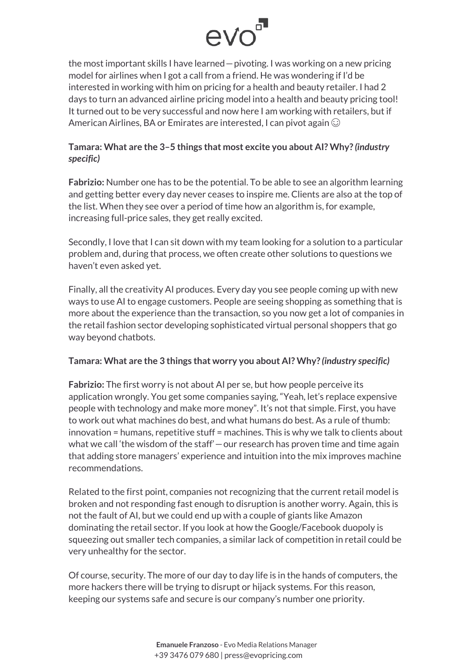

the most important skills I have learned—pivoting. I was working on a new pricing model for airlines when I got a call from a friend. He was wondering if I'd be interested in working with him on pricing for a health and beauty retailer. I had 2 days to turn an advanced airline pricing model into a health and beauty pricing tool! It turned out to be very successful and now here I am working with retailers, but if American Airlines, BA or Emirates are interested, I can pivot again  $\odot$ 

#### **Tamara: What are the 3–5 things that most excite you about AI? Why?** *(industry specific)*

**Fabrizio:** Number one has to be the potential. To be able to see an algorithm learning and getting better every day never ceases to inspire me. Clients are also at the top of the list. When they see over a period of time how an algorithm is, for example, increasing full-price sales, they get really excited.

Secondly, I love that I can sit down with my team looking for a solution to a particular problem and, during that process, we often create other solutions to questions we haven't even asked yet.

Finally, all the creativity AI produces. Every day you see people coming up with new ways to use AI to engage customers. People are seeing shopping as something that is more about the experience than the transaction, so you now get a lot of companies in the retail fashion sector developing sophisticated virtual personal shoppers that go way beyond chatbots.

#### **Tamara: What are the 3 things that worry you about AI? Why?** *(industry specific)*

**Fabrizio:** The first worry is not about AI per se, but how people perceive its application wrongly. You get some companies saying, "Yeah, let's replace expensive people with technology and make more money". It's not that simple. First, you have to work out what machines do best, and what humans do best. As a rule of thumb: innovation = humans, repetitive stuff = machines. This is why we talk to clients about what we call 'the wisdom of the staff' - our research has proven time and time again that adding store managers' experience and intuition into the mix improves machine recommendations.

Related to the first point, companies not recognizing that the current retail model is broken and not responding fast enough to disruption is another worry. Again, this is not the fault of AI, but we could end up with a couple of giants like Amazon dominating the retail sector. If you look at how the Google/Facebook duopoly is squeezing out smaller tech companies, a similar lack of competition in retail could be very unhealthy for the sector.

Of course, security. The more of our day to day life is in the hands of computers, the more hackers there will be trying to disrupt or hijack systems. For this reason, keeping our systems safe and secure is our company's number one priority.